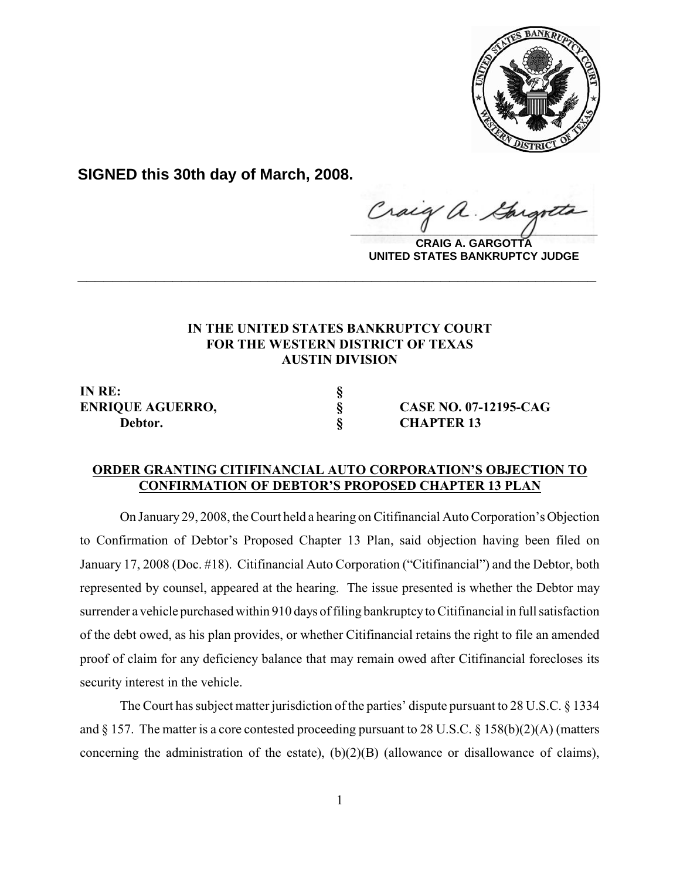

**SIGNED this 30th day of March, 2008.**

Craig  $\frac{1}{2}$ 

**CRAIG A. GARGOTTA UNITED STATES BANKRUPTCY JUDGE**

## **IN THE UNITED STATES BANKRUPTCY COURT FOR THE WESTERN DISTRICT OF TEXAS AUSTIN DIVISION**

**\_\_\_\_\_\_\_\_\_\_\_\_\_\_\_\_\_\_\_\_\_\_\_\_\_\_\_\_\_\_\_\_\_\_\_\_\_\_\_\_\_\_\_\_\_\_\_\_\_\_\_\_\_\_\_\_\_\_\_\_**

**IN RE: § Debtor. § CHAPTER 13**

**ENRIQUE AGUERRO, § CASE NO. 07-12195-CAG**

## **ORDER GRANTING CITIFINANCIAL AUTO CORPORATION'S OBJECTION TO CONFIRMATION OF DEBTOR'S PROPOSED CHAPTER 13 PLAN**

On January 29, 2008, the Court held a hearing on Citifinancial Auto Corporation's Objection to Confirmation of Debtor's Proposed Chapter 13 Plan, said objection having been filed on January 17, 2008 (Doc. #18). Citifinancial Auto Corporation ("Citifinancial") and the Debtor, both represented by counsel, appeared at the hearing. The issue presented is whether the Debtor may surrender a vehicle purchased within 910 days of filing bankruptcy to Citifinancial in full satisfaction of the debt owed, as his plan provides, or whether Citifinancial retains the right to file an amended proof of claim for any deficiency balance that may remain owed after Citifinancial forecloses its security interest in the vehicle.

The Court has subject matter jurisdiction of the parties' dispute pursuant to 28 U.S.C. § 1334 and § 157. The matter is a core contested proceeding pursuant to 28 U.S.C. § 158(b)(2)(A) (matters concerning the administration of the estate),  $(b)(2)(B)$  (allowance or disallowance of claims),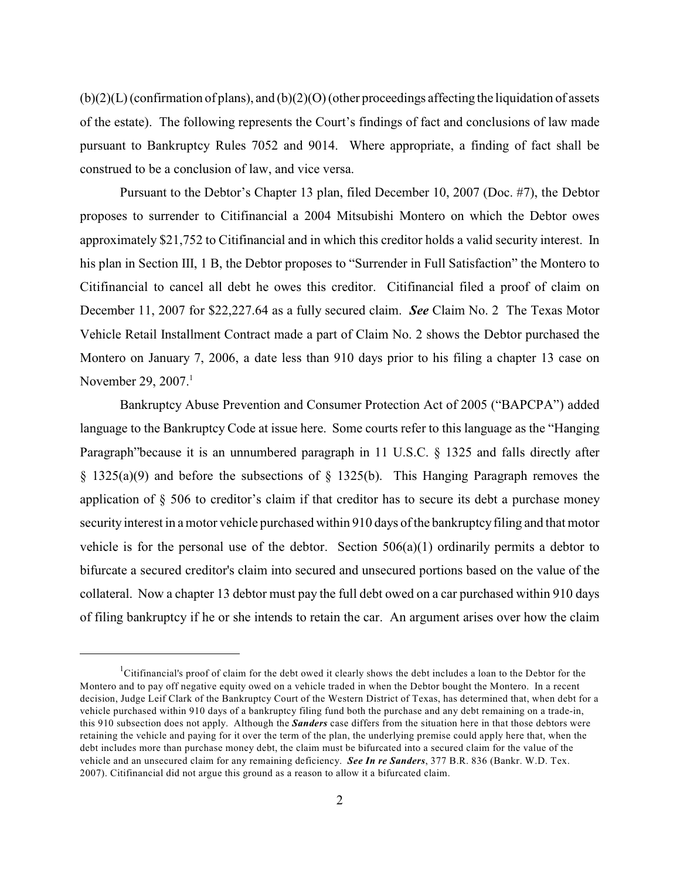(b)(2)(L) (confirmation of plans), and (b)(2)(O) (other proceedings affecting the liquidation of assets of the estate). The following represents the Court's findings of fact and conclusions of law made pursuant to Bankruptcy Rules 7052 and 9014. Where appropriate, a finding of fact shall be construed to be a conclusion of law, and vice versa.

Pursuant to the Debtor's Chapter 13 plan, filed December 10, 2007 (Doc. #7), the Debtor proposes to surrender to Citifinancial a 2004 Mitsubishi Montero on which the Debtor owes approximately \$21,752 to Citifinancial and in which this creditor holds a valid security interest. In his plan in Section III, 1 B, the Debtor proposes to "Surrender in Full Satisfaction" the Montero to Citifinancial to cancel all debt he owes this creditor. Citifinancial filed a proof of claim on December 11, 2007 for \$22,227.64 as a fully secured claim. *See* Claim No. 2 The Texas Motor Vehicle Retail Installment Contract made a part of Claim No. 2 shows the Debtor purchased the Montero on January 7, 2006, a date less than 910 days prior to his filing a chapter 13 case on November 29,  $2007<sup>1</sup>$ 

Bankruptcy Abuse Prevention and Consumer Protection Act of 2005 ("BAPCPA") added language to the Bankruptcy Code at issue here. Some courts refer to this language as the "Hanging Paragraph"because it is an unnumbered paragraph in 11 U.S.C. § 1325 and falls directly after § 1325(a)(9) and before the subsections of § 1325(b). This Hanging Paragraph removes the application of § 506 to creditor's claim if that creditor has to secure its debt a purchase money security interest in a motor vehicle purchased within 910 days of the bankruptcyfiling and that motor vehicle is for the personal use of the debtor. Section  $506(a)(1)$  ordinarily permits a debtor to bifurcate a secured creditor's claim into secured and unsecured portions based on the value of the collateral. Now a chapter 13 debtor must pay the full debt owed on a car purchased within 910 days of filing bankruptcy if he or she intends to retain the car. An argument arises over how the claim

<sup>&</sup>lt;sup>1</sup>Citifinancial's proof of claim for the debt owed it clearly shows the debt includes a loan to the Debtor for the Montero and to pay off negative equity owed on a vehicle traded in when the Debtor bought the Montero. In a recent decision, Judge Leif Clark of the Bankruptcy Court of the Western District of Texas, has determined that, when debt for a vehicle purchased within 910 days of a bankruptcy filing fund both the purchase and any debt remaining on a trade-in, this 910 subsection does not apply. Although the *Sanders* case differs from the situation here in that those debtors were retaining the vehicle and paying for it over the term of the plan, the underlying premise could apply here that, when the debt includes more than purchase money debt, the claim must be bifurcated into a secured claim for the value of the vehicle and an unsecured claim for any remaining deficiency. *See In re Sanders*, 377 B.R. 836 (Bankr. W.D. Tex. 2007). Citifinancial did not argue this ground as a reason to allow it a bifurcated claim.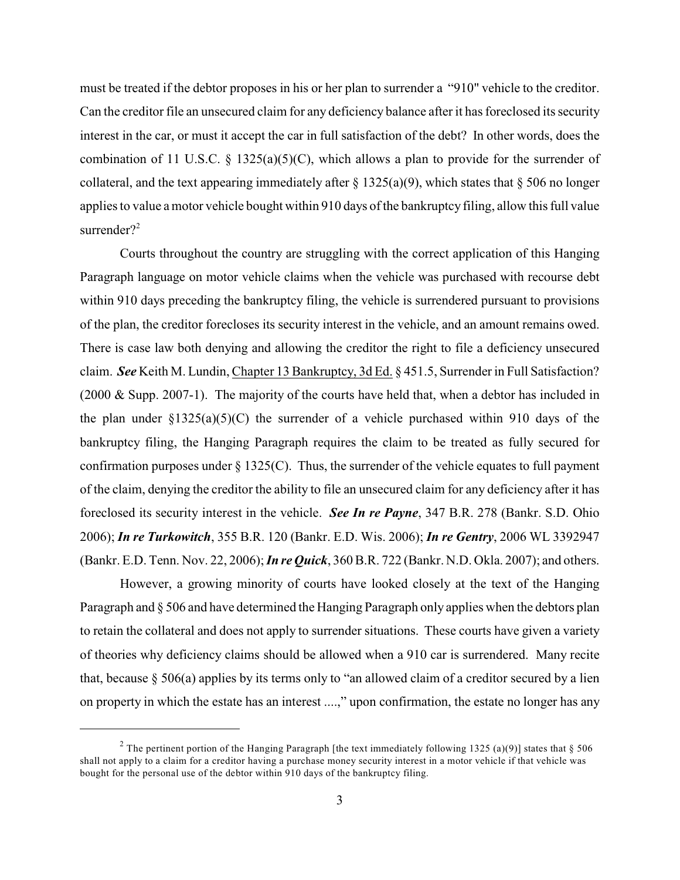must be treated if the debtor proposes in his or her plan to surrender a "910" vehicle to the creditor. Can the creditor file an unsecured claim for any deficiency balance after it has foreclosed its security interest in the car, or must it accept the car in full satisfaction of the debt? In other words, does the combination of 11 U.S.C. § 1325(a)(5)(C), which allows a plan to provide for the surrender of collateral, and the text appearing immediately after  $\S 1325(a)(9)$ , which states that  $\S 506$  no longer applies to value a motor vehicle bought within 910 days of the bankruptcy filing, allow this full value surrender?<sup>2</sup>

Courts throughout the country are struggling with the correct application of this Hanging Paragraph language on motor vehicle claims when the vehicle was purchased with recourse debt within 910 days preceding the bankruptcy filing, the vehicle is surrendered pursuant to provisions of the plan, the creditor forecloses its security interest in the vehicle, and an amount remains owed. There is case law both denying and allowing the creditor the right to file a deficiency unsecured claim. *See* Keith M. Lundin, Chapter 13 Bankruptcy, 3d Ed. § 451.5, Surrender in Full Satisfaction? (2000 & Supp. 2007-1). The majority of the courts have held that, when a debtor has included in the plan under  $\S 1325(a)(5)(C)$  the surrender of a vehicle purchased within 910 days of the bankruptcy filing, the Hanging Paragraph requires the claim to be treated as fully secured for confirmation purposes under  $\S 1325(C)$ . Thus, the surrender of the vehicle equates to full payment of the claim, denying the creditor the ability to file an unsecured claim for any deficiency after it has foreclosed its security interest in the vehicle. *See In re Payne*, 347 B.R. 278 (Bankr. S.D. Ohio 2006); *In re Turkowitch*, 355 B.R. 120 (Bankr. E.D. Wis. 2006); *In re Gentry*, 2006 WL 3392947 (Bankr. E.D. Tenn. Nov. 22, 2006);*In re Quick*, 360 B.R. 722 (Bankr. N.D. Okla. 2007); and others.

However, a growing minority of courts have looked closely at the text of the Hanging Paragraph and § 506 and have determined the Hanging Paragraph only applies when the debtors plan to retain the collateral and does not apply to surrender situations. These courts have given a variety of theories why deficiency claims should be allowed when a 910 car is surrendered. Many recite that, because  $\S 506(a)$  applies by its terms only to "an allowed claim of a creditor secured by a lien on property in which the estate has an interest ....," upon confirmation, the estate no longer has any

<sup>&</sup>lt;sup>2</sup> The pertinent portion of the Hanging Paragraph [the text immediately following 1325 (a)(9)] states that  $\S 506$ shall not apply to a claim for a creditor having a purchase money security interest in a motor vehicle if that vehicle was bought for the personal use of the debtor within 910 days of the bankruptcy filing.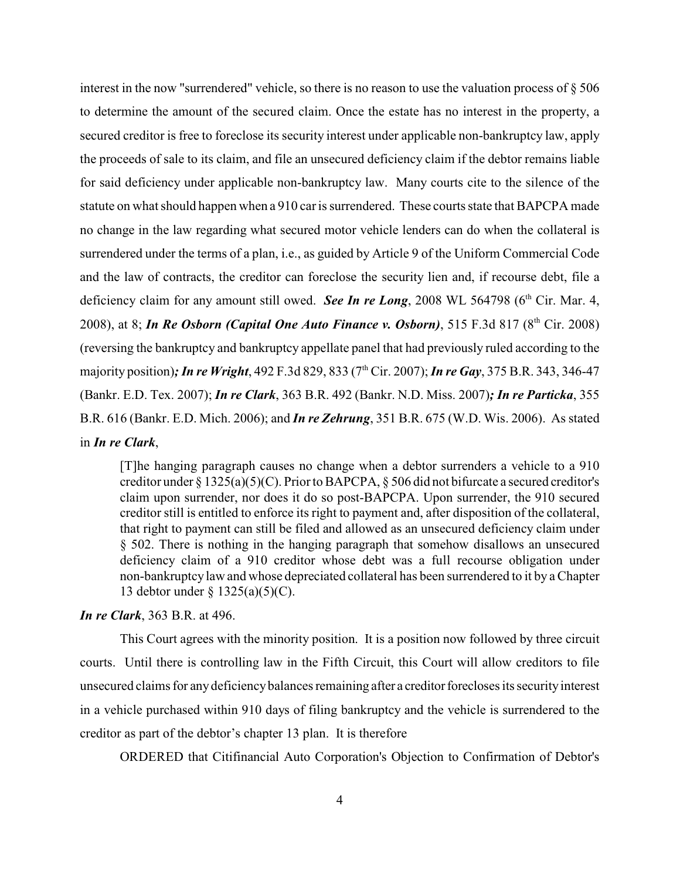interest in the now "surrendered" vehicle, so there is no reason to use the valuation process of § 506 to determine the amount of the secured claim. Once the estate has no interest in the property, a secured creditor is free to foreclose its security interest under applicable non-bankruptcy law, apply the proceeds of sale to its claim, and file an unsecured deficiency claim if the debtor remains liable for said deficiency under applicable non-bankruptcy law. Many courts cite to the silence of the statute on what should happen when a 910 car is surrendered. These courts state that BAPCPA made no change in the law regarding what secured motor vehicle lenders can do when the collateral is surrendered under the terms of a plan, i.e., as guided by Article 9 of the Uniform Commercial Code and the law of contracts, the creditor can foreclose the security lien and, if recourse debt, file a deficiency claim for any amount still owed. *See In re Long*, 2008 WL 564798 ( $6<sup>th</sup>$  Cir. Mar. 4, 2008), at 8; *In Re Osborn (Capital One Auto Finance v. Osborn)*, 515 F.3d 817 (8<sup>th</sup> Cir. 2008) (reversing the bankruptcy and bankruptcy appellate panel that had previously ruled according to the majority position); *In re Wright*, 492 F.3d 829, 833 (7<sup>th</sup> Cir. 2007); *In re Gay*, 375 B.R. 343, 346-47 (Bankr. E.D. Tex. 2007); *In re Clark*, 363 B.R. 492 (Bankr. N.D. Miss. 2007)*; In re Particka*, 355 B.R. 616 (Bankr. E.D. Mich. 2006); and *In re Zehrung*, 351 B.R. 675 (W.D. Wis. 2006). As stated in *In re Clark*,

[T]he hanging paragraph causes no change when a debtor surrenders a vehicle to a 910 creditor under § 1325(a)(5)(C). Prior to BAPCPA, § 506 did not bifurcate a secured creditor's claim upon surrender, nor does it do so post-BAPCPA. Upon surrender, the 910 secured creditor still is entitled to enforce its right to payment and, after disposition of the collateral, that right to payment can still be filed and allowed as an unsecured deficiency claim under § 502. There is nothing in the hanging paragraph that somehow disallows an unsecured deficiency claim of a 910 creditor whose debt was a full recourse obligation under non-bankruptcy law and whose depreciated collateral has been surrendered to it by a Chapter 13 debtor under § 1325(a)(5)(C).

## *In re Clark*, 363 B.R. at 496.

This Court agrees with the minority position. It is a position now followed by three circuit courts. Until there is controlling law in the Fifth Circuit, this Court will allow creditors to file unsecured claims for any deficiency balances remaining after a creditor forecloses its security interest in a vehicle purchased within 910 days of filing bankruptcy and the vehicle is surrendered to the creditor as part of the debtor's chapter 13 plan. It is therefore

ORDERED that Citifinancial Auto Corporation's Objection to Confirmation of Debtor's